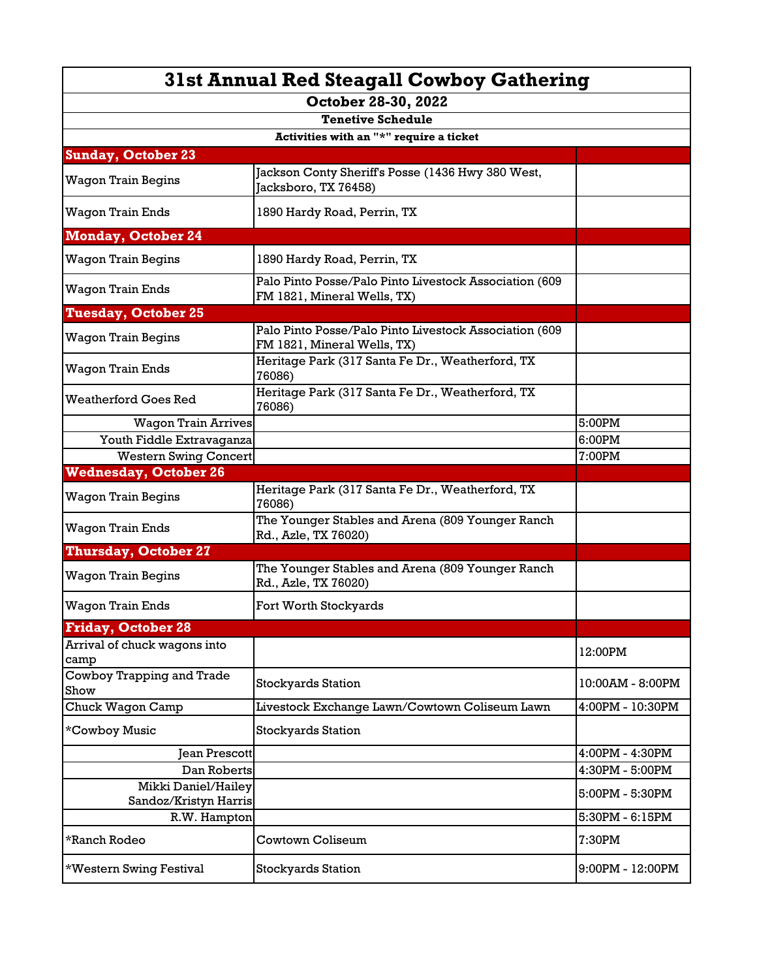| 31st Annual Red Steagall Cowboy Gathering    |                                                                                       |                  |  |  |
|----------------------------------------------|---------------------------------------------------------------------------------------|------------------|--|--|
| October 28-30, 2022                          |                                                                                       |                  |  |  |
| <b>Tenetive Schedule</b>                     |                                                                                       |                  |  |  |
| Activities with an "*" require a ticket      |                                                                                       |                  |  |  |
| <b>Sunday, October 23</b>                    |                                                                                       |                  |  |  |
| Wagon Train Begins                           | Jackson Conty Sheriff's Posse (1436 Hwy 380 West,<br>Jacksboro, TX 76458)             |                  |  |  |
| <b>Wagon Train Ends</b>                      | 1890 Hardy Road, Perrin, TX                                                           |                  |  |  |
| <b>Monday, October 24</b>                    |                                                                                       |                  |  |  |
| Wagon Train Begins                           | 1890 Hardy Road, Perrin, TX                                                           |                  |  |  |
| <b>Wagon Train Ends</b>                      | Palo Pinto Posse/Palo Pinto Livestock Association (609<br>FM 1821, Mineral Wells, TX) |                  |  |  |
| <b>Tuesday, October 25</b>                   |                                                                                       |                  |  |  |
| <b>Wagon Train Begins</b>                    | Palo Pinto Posse/Palo Pinto Livestock Association (609<br>FM 1821, Mineral Wells, TX) |                  |  |  |
| Wagon Train Ends                             | Heritage Park (317 Santa Fe Dr., Weatherford, TX<br>76086)                            |                  |  |  |
| <b>Weatherford Goes Red</b>                  | Heritage Park (317 Santa Fe Dr., Weatherford, TX<br>76086)                            |                  |  |  |
| <b>Wagon Train Arrives</b>                   |                                                                                       | 5:00PM           |  |  |
| Youth Fiddle Extravaganza                    |                                                                                       | 6:00PM           |  |  |
| <b>Western Swing Concert</b>                 |                                                                                       | 7:00PM           |  |  |
| <b>Wednesday, October 26</b>                 |                                                                                       |                  |  |  |
| Wagon Train Begins                           | Heritage Park (317 Santa Fe Dr., Weatherford, TX<br>76086)                            |                  |  |  |
| Wagon Train Ends                             | The Younger Stables and Arena (809 Younger Ranch<br>Rd., Azle, TX 76020)              |                  |  |  |
| <b>Thursday, October 27</b>                  |                                                                                       |                  |  |  |
| Wagon Train Begins                           | The Younger Stables and Arena (809 Younger Ranch<br>Rd., Azle, TX 76020)              |                  |  |  |
| <b>Wagon Train Ends</b>                      | Fort Worth Stockyards                                                                 |                  |  |  |
| <b>Friday, October 28</b>                    |                                                                                       |                  |  |  |
| Arrival of chuck wagons into<br>camp         |                                                                                       | 12:00PM          |  |  |
| Cowboy Trapping and Trade<br>Show            | Stockyards Station                                                                    | 10:00AM - 8:00PM |  |  |
| Chuck Wagon Camp                             | Livestock Exchange Lawn/Cowtown Coliseum Lawn                                         | 4:00PM - 10:30PM |  |  |
| *Cowboy Music                                | Stockyards Station                                                                    |                  |  |  |
| <b>Jean Prescott</b>                         |                                                                                       | 4:00PM - 4:30PM  |  |  |
| Dan Roberts                                  |                                                                                       | 4:30PM - 5:00PM  |  |  |
| Mikki Daniel/Hailey<br>Sandoz/Kristyn Harris |                                                                                       | 5:00PM - 5:30PM  |  |  |
| R.W. Hampton                                 |                                                                                       | 5:30PM - 6:15PM  |  |  |
| *Ranch Rodeo                                 | Cowtown Coliseum                                                                      | 7:30PM           |  |  |
| *Western Swing Festival                      | <b>Stockyards Station</b>                                                             | 9:00PM - 12:00PM |  |  |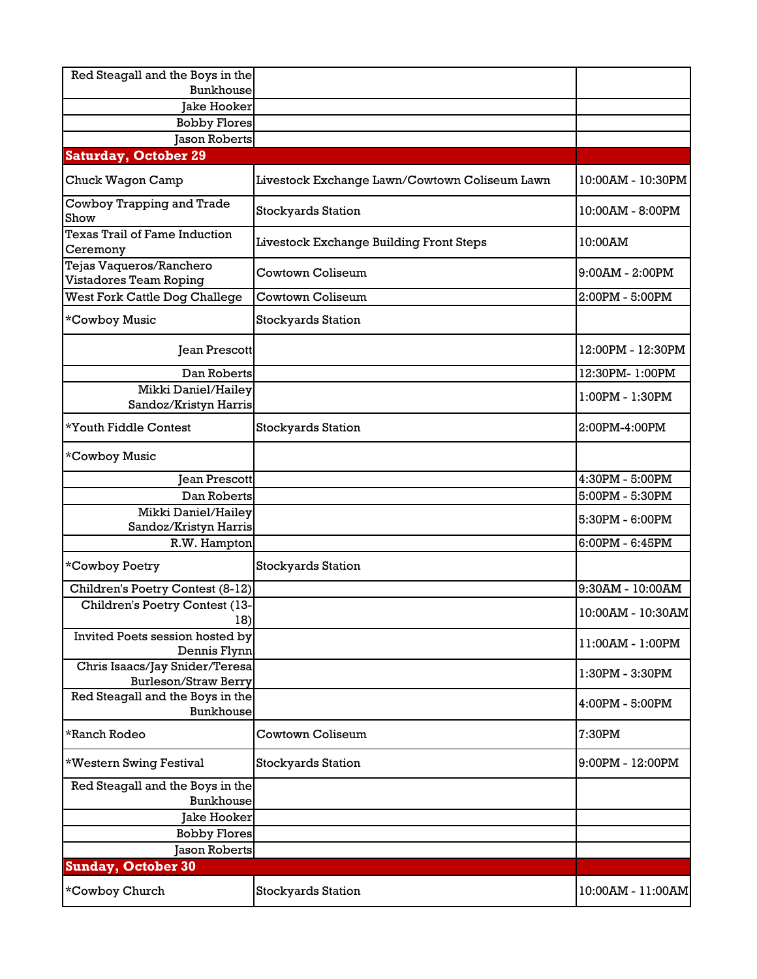| Red Steagall and the Boys in the                              |                                               |                    |
|---------------------------------------------------------------|-----------------------------------------------|--------------------|
| Bunkhouse                                                     |                                               |                    |
| <b>Jake Hooker</b>                                            |                                               |                    |
| <b>Bobby Flores</b>                                           |                                               |                    |
| <b>Jason Roberts</b>                                          |                                               |                    |
| <b>Saturday, October 29</b>                                   |                                               |                    |
| Chuck Wagon Camp                                              | Livestock Exchange Lawn/Cowtown Coliseum Lawn | 10:00AM - 10:30PM  |
| Cowboy Trapping and Trade<br>Show                             | <b>Stockyards Station</b>                     | 10:00AM - 8:00PM   |
| Texas Trail of Fame Induction<br>Ceremony                     | Livestock Exchange Building Front Steps       | 10:00AM            |
| Tejas Vaqueros/Ranchero<br>Vistadores Team Roping             | Cowtown Coliseum                              | $9:00AM - 2:00PM$  |
| West Fork Cattle Dog Challege                                 | Cowtown Coliseum                              | 2:00PM - 5:00PM    |
| *Cowboy Music                                                 | <b>Stockyards Station</b>                     |                    |
| <b>Jean Prescott</b>                                          |                                               | 12:00PM - 12:30PM  |
| Dan Roberts                                                   |                                               | 12:30PM-1:00PM     |
| Mikki Daniel/Hailey<br>Sandoz/Kristyn Harris                  |                                               | 1:00PM - 1:30PM    |
| *Youth Fiddle Contest                                         | <b>Stockyards Station</b>                     | 2:00PM-4:00PM      |
| *Cowboy Music                                                 |                                               |                    |
| <b>Jean Prescott</b>                                          |                                               | 4:30PM - 5:00PM    |
| Dan Roberts                                                   |                                               | 5:00PM - 5:30PM    |
| Mikki Daniel/Hailey<br>Sandoz/Kristyn Harris                  |                                               | 5:30PM - 6:00PM    |
| R.W. Hampton                                                  |                                               | $6:00PM - 6:45PM$  |
| *Cowboy Poetry                                                | <b>Stockyards Station</b>                     |                    |
| Children's Poetry Contest (8-12)                              |                                               | 9:30AM - 10:00AM   |
| Children's Poetry Contest (13-<br>18)                         |                                               | 10:00AM - 10:30AM  |
| Invited Poets session hosted by<br>Dennis Flynn               |                                               | 11:00AM - 1:00PM   |
| Chris Isaacs/Jay Snider/Teresa<br><b>Burleson/Straw Berry</b> |                                               | 1:30PM - 3:30PM    |
| Red Steagall and the Boys in the<br>Bunkhouse                 |                                               | 4:00PM - 5:00PM    |
| *Ranch Rodeo                                                  | Cowtown Coliseum                              | 7:30PM             |
| *Western Swing Festival                                       | <b>Stockyards Station</b>                     | $9:00PM - 12:00PM$ |
| Red Steagall and the Boys in the<br>Bunkhouse                 |                                               |                    |
| Jake Hooker                                                   |                                               |                    |
| <b>Bobby Flores</b>                                           |                                               |                    |
| Jason Roberts                                                 |                                               |                    |
| <b>Sunday, October 30</b>                                     |                                               |                    |
| *Cowboy Church                                                | <b>Stockyards Station</b>                     | 10:00AM - 11:00AM  |